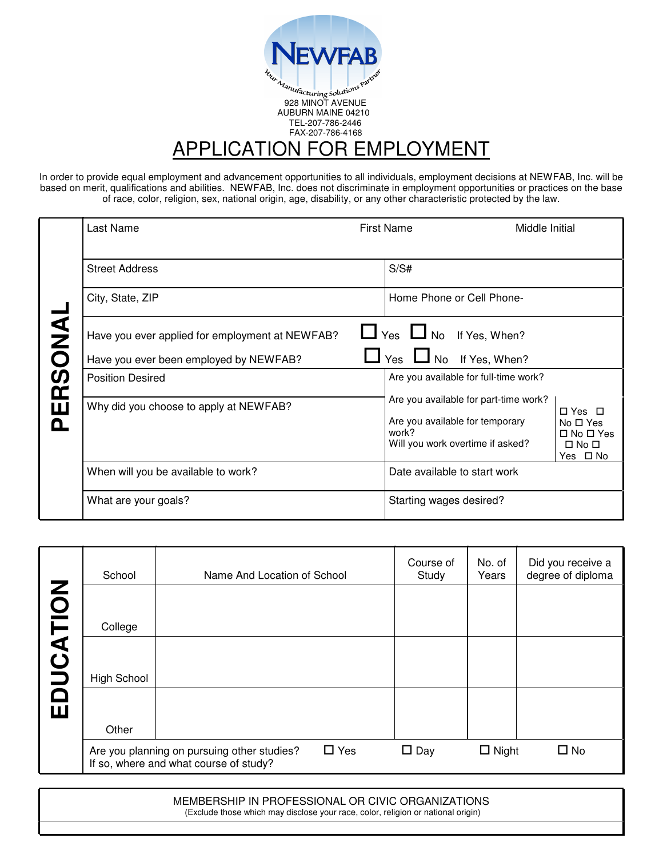

In order to provide equal employment and advancement opportunities to all individuals, employment decisions at NEWFAB, Inc. will be based on merit, qualifications and abilities. NEWFAB, Inc. does not discriminate in employment opportunities or practices on the base of race, color, religion, sex, national origin, age, disability, or any other characteristic protected by the law.

|          | Last Name                                       | <b>First Name</b><br>Middle Initial                                                                                                                                                                                 |
|----------|-------------------------------------------------|---------------------------------------------------------------------------------------------------------------------------------------------------------------------------------------------------------------------|
|          | <b>Street Address</b>                           | S/S#                                                                                                                                                                                                                |
| ERSONA   | City, State, ZIP                                | Home Phone or Cell Phone-                                                                                                                                                                                           |
|          | Have you ever applied for employment at NEWFAB? | Ves U No If Yes, When?                                                                                                                                                                                              |
|          | Have you ever been employed by NEWFAB?          | l Yes<br>If Yes, When?<br>No                                                                                                                                                                                        |
|          | <b>Position Desired</b>                         | Are you available for full-time work?                                                                                                                                                                               |
| <u>ո</u> | Why did you choose to apply at NEWFAB?          | Are you available for part-time work?<br>$\Box$ Yes $\Box$<br>Are you available for temporary<br>$No \Box Yes$<br>work?<br>$\Box$ No $\Box$ Yes<br>Will you work overtime if asked?<br>$\Box$ No $\Box$<br>Yes □ No |
|          | When will you be available to work?             | Date available to start work                                                                                                                                                                                        |
|          | What are your goals?                            | Starting wages desired?                                                                                                                                                                                             |

|               | School             | Name And Location of School                                                                         | Course of<br>Study | No. of<br>Years | Did you receive a<br>degree of diploma |
|---------------|--------------------|-----------------------------------------------------------------------------------------------------|--------------------|-----------------|----------------------------------------|
| Z             |                    |                                                                                                     |                    |                 |                                        |
|               | College            |                                                                                                     |                    |                 |                                        |
| <b>UCATIO</b> | <b>High School</b> |                                                                                                     |                    |                 |                                        |
| $\bar{\Xi}$   | Other              |                                                                                                     |                    |                 |                                        |
|               |                    | $\Box$ Yes<br>Are you planning on pursuing other studies?<br>If so, where and what course of study? | $\square$ Day      | $\Box$ Night    | $\Box$ No                              |

MEMBERSHIP IN PROFESSIONAL OR CIVIC ORGANIZATIONS (Exclude those which may disclose your race, color, religion or national origin)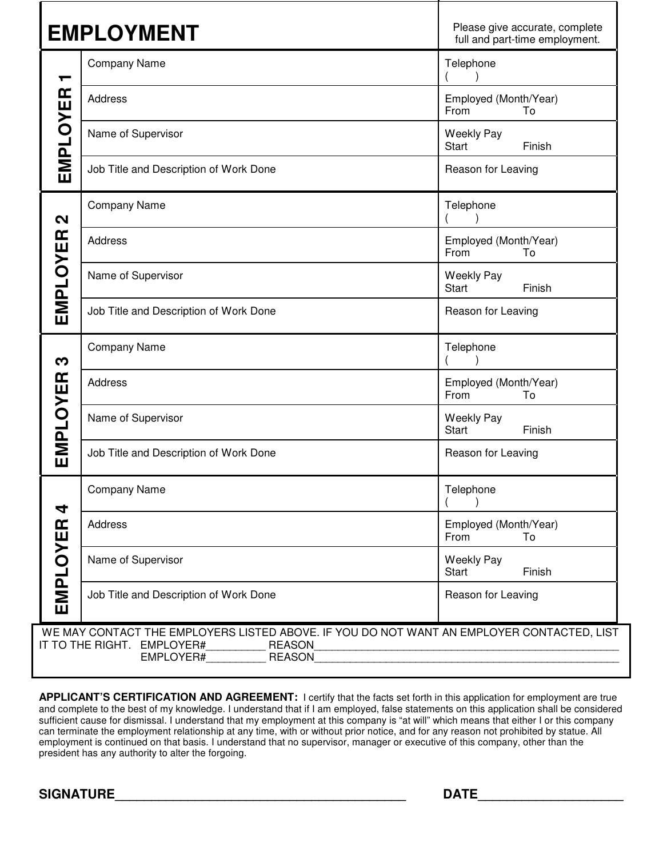|                      | <b>EMPLOYMENT</b>                                                                                                                                            | Please give accurate, complete<br>full and part-time employment. |
|----------------------|--------------------------------------------------------------------------------------------------------------------------------------------------------------|------------------------------------------------------------------|
| ┯                    | <b>Company Name</b>                                                                                                                                          | Telephone                                                        |
|                      | Address                                                                                                                                                      | Employed (Month/Year)<br>From<br>To                              |
| EMPLOYER             | Name of Supervisor                                                                                                                                           | <b>Weekly Pay</b><br>Finish<br><b>Start</b>                      |
|                      | Job Title and Description of Work Done                                                                                                                       | Reason for Leaving                                               |
| $\mathbf{\Omega}$    | <b>Company Name</b>                                                                                                                                          | Telephone                                                        |
|                      | <b>Address</b>                                                                                                                                               | Employed (Month/Year)<br>From<br>To                              |
| <b>EMPLOYER</b>      | Name of Supervisor                                                                                                                                           | <b>Weekly Pay</b><br>Finish<br><b>Start</b>                      |
|                      | Job Title and Description of Work Done                                                                                                                       | Reason for Leaving                                               |
| က                    | <b>Company Name</b>                                                                                                                                          | Telephone                                                        |
|                      | Address                                                                                                                                                      | Employed (Month/Year)<br>From<br>To                              |
| EMPLOYER             | Name of Supervisor                                                                                                                                           | <b>Weekly Pay</b><br>Finish<br><b>Start</b>                      |
|                      | Job Title and Description of Work Done                                                                                                                       | Reason for Leaving                                               |
| 4<br><b>EMPLOYER</b> | <b>Company Name</b>                                                                                                                                          | Telephone                                                        |
|                      | Address                                                                                                                                                      | Employed (Month/Year)<br>From<br>To                              |
|                      | Name of Supervisor                                                                                                                                           | <b>Weekly Pay</b><br>Start<br>Finish                             |
|                      | Job Title and Description of Work Done                                                                                                                       | Reason for Leaving                                               |
|                      | WE MAY CONTACT THE EMPLOYERS LISTED ABOVE. IF YOU DO NOT WANT AN EMPLOYER CONTACTED, LIST<br>IT TO THE RIGHT. EMPLOYER#<br><b>REASON</b><br>EMPLOYER# REASON |                                                                  |

**APPLICANT'S CERTIFICATION AND AGREEMENT:** I certify that the facts set forth in this application for employment are true and complete to the best of my knowledge. I understand that if I am employed, false statements on this application shall be considered sufficient cause for dismissal. I understand that my employment at this company is "at will" which means that either I or this company can terminate the employment relationship at any time, with or without prior notice, and for any reason not prohibited by statue. All employment is continued on that basis. I understand that no supervisor, manager or executive of this company, other than the president has any authority to alter the forgoing.

**SIGNATURE** DATE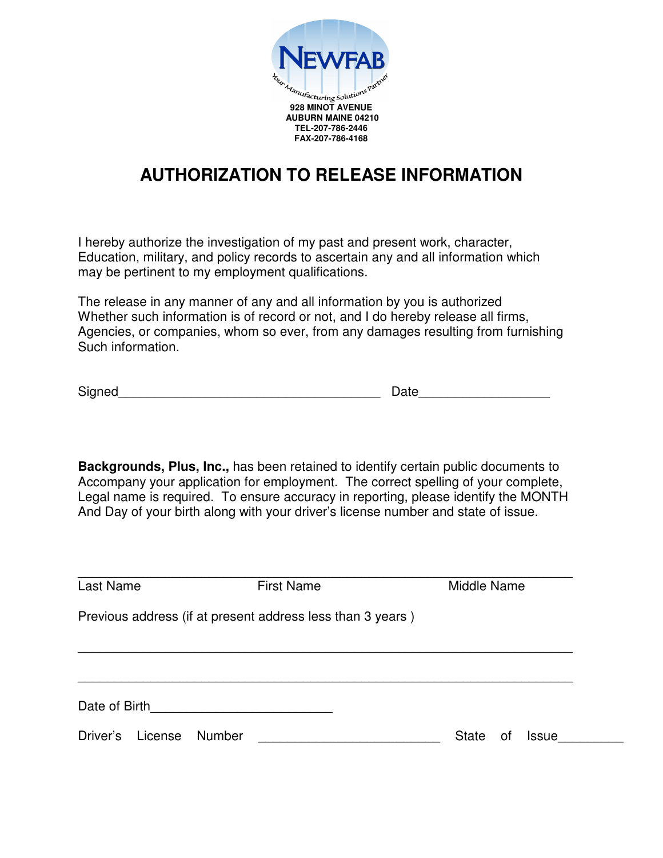

## **AUTHORIZATION TO RELEASE INFORMATION**

I hereby authorize the investigation of my past and present work, character, Education, military, and policy records to ascertain any and all information which may be pertinent to my employment qualifications.

The release in any manner of any and all information by you is authorized Whether such information is of record or not, and I do hereby release all firms, Agencies, or companies, whom so ever, from any damages resulting from furnishing Such information.

Signed\_\_\_\_\_\_\_\_\_\_\_\_\_\_\_\_\_\_\_\_\_\_\_\_\_\_\_\_\_\_\_\_\_\_\_\_ Date\_\_\_\_\_\_\_\_\_\_\_\_\_\_\_\_\_\_

**Backgrounds, Plus, Inc.,** has been retained to identify certain public documents to Accompany your application for employment. The correct spelling of your complete, Legal name is required. To ensure accuracy in reporting, please identify the MONTH And Day of your birth along with your driver's license number and state of issue.

| Last Name                                              | <b>First Name</b>                                          | Middle Name                 |
|--------------------------------------------------------|------------------------------------------------------------|-----------------------------|
|                                                        | Previous address (if at present address less than 3 years) |                             |
|                                                        |                                                            |                             |
|                                                        |                                                            |                             |
| Date of Birth <u>_________________________________</u> |                                                            |                             |
| Driver's<br>License                                    | Number                                                     | <b>State</b><br>Issue<br>οf |